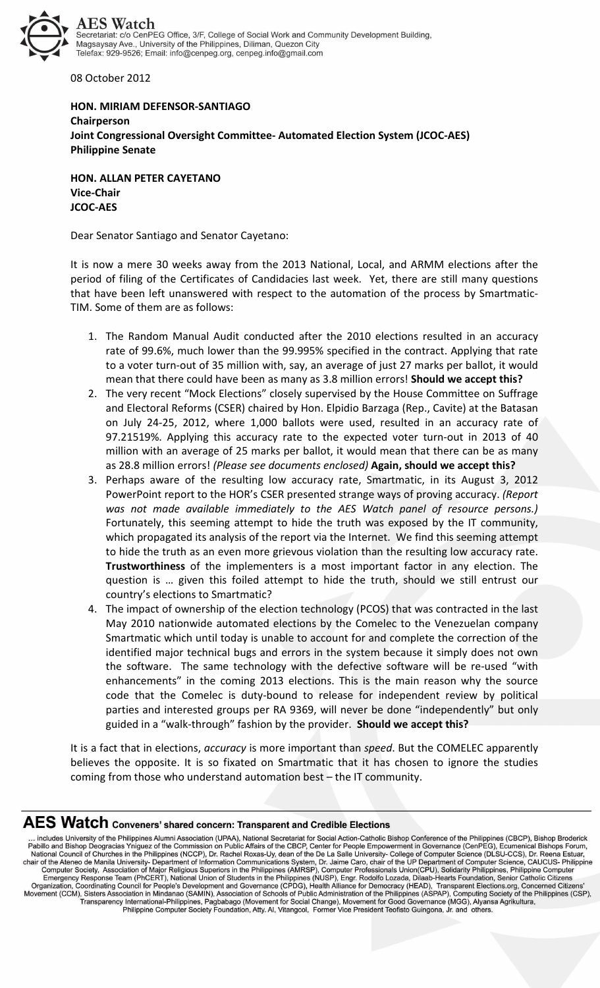

08 October 2012

## **HON. MIRIAM DEFENSOR-SANTIAGO Chairperson Joint Congressional Oversight Committee- Automated Election System (JCOC-AES) Philippine Senate**

**HON. ALLAN PETER CAYETANO Vice-Chair JCOC-AES** 

Dear Senator Santiago and Senator Cayetano:

It is now a mere 30 weeks away from the 2013 National, Local, and ARMM elections after the period of filing of the Certificates of Candidacies last week. Yet, there are still many questions that have been left unanswered with respect to the automation of the process by Smartmatic-TIM. Some of them are as follows:

- 1. The Random Manual Audit conducted after the 2010 elections resulted in an accuracy rate of 99.6%, much lower than the 99.995% specified in the contract. Applying that rate to a voter turn-out of 35 million with, say, an average of just 27 marks per ballot, it would mean that there could have been as many as 3.8 million errors! **Should we accept this?**
- 2. The very recent "Mock Elections" closely supervised by the House Committee on Suffrage and Electoral Reforms (CSER) chaired by Hon. Elpidio Barzaga (Rep., Cavite) at the Batasan on July 24-25, 2012, where 1,000 ballots were used, resulted in an accuracy rate of 97.21519%. Applying this accuracy rate to the expected voter turn-out in 2013 of 40 million with an average of 25 marks per ballot, it would mean that there can be as many as 28.8 million errors! *(Please see documents enclosed)* **Again, should we accept this?**
- 3. Perhaps aware of the resulting low accuracy rate, Smartmatic, in its August 3, 2012 PowerPoint report to the HOR's CSER presented strange ways of proving accuracy. *(Report was not made available immediately to the AES Watch panel of resource persons.)*  Fortunately, this seeming attempt to hide the truth was exposed by the IT community, which propagated its analysis of the report via the Internet. We find this seeming attempt to hide the truth as an even more grievous violation than the resulting low accuracy rate. **Trustworthiness** of the implementers is a most important factor in any election. The question is … given this foiled attempt to hide the truth, should we still entrust our country's elections to Smartmatic?
- 4. The impact of ownership of the election technology (PCOS) that was contracted in the last May 2010 nationwide automated elections by the Comelec to the Venezuelan company Smartmatic which until today is unable to account for and complete the correction of the identified major technical bugs and errors in the system because it simply does not own the software. The same technology with the defective software will be re-used "with enhancements" in the coming 2013 elections. This is the main reason why the source code that the Comelec is duty-bound to release for independent review by political parties and interested groups per RA 9369, will never be done "independently" but only guided in a "walk-through" fashion by the provider. **Should we accept this?**

It is a fact that in elections, *accuracy* is more important than *speed*. But the COMELEC apparently believes the opposite. It is so fixated on Smartmatic that it has chosen to ignore the studies coming from those who understand automation best – the IT community.

## AES Watch Conveners' shared concern: Transparent and Credible Elections

Transposition is a metallic and Stream Philippines (CBCP), Bishop Broderick<br>
Transposition and Stream Mational Scretchian Secretaria for Screen FreeDock Applies (CBCP), Bishop Broderick<br>
Thilibrah Screen Philippines (NCCP) Fransparency International-Philippines, Pagbabago (Movement for Social Change), Movement for Good Governance (MGG), Alyansa Agrikultura,<br>Pransparency International-Philippines, Pagbabago (Movement for Social Change), Movem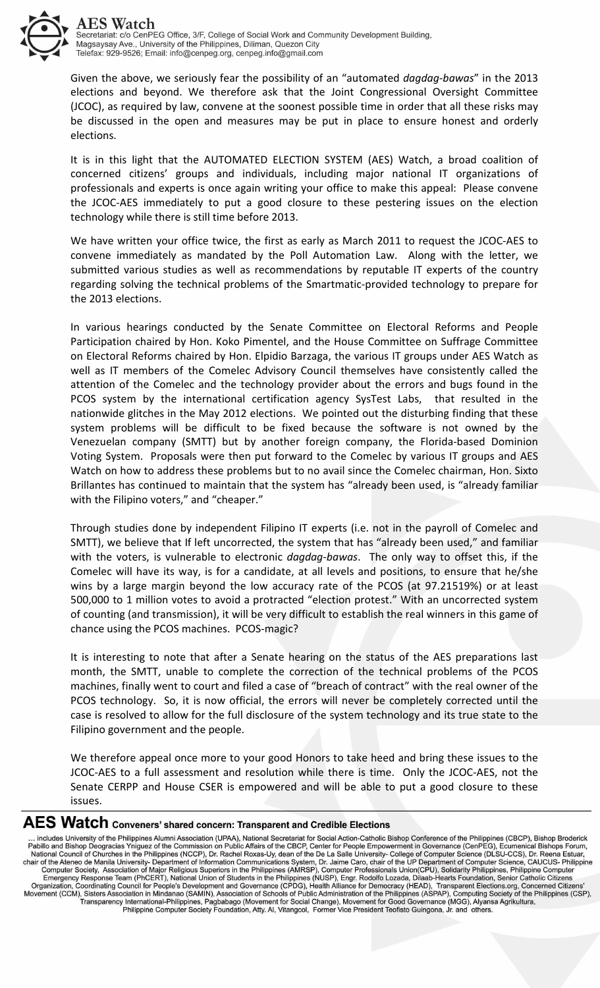

Given the above, we seriously fear the possibility of an "automated *dagdag-bawas*" in the 2013 elections and beyond. We therefore ask that the Joint Congressional Oversight Committee (JCOC), as required by law, convene at the soonest possible time in order that all these risks may be discussed in the open and measures may be put in place to ensure honest and orderly elections.

It is in this light that the AUTOMATED ELECTION SYSTEM (AES) Watch, a broad coalition of concerned citizens' groups and individuals, including major national IT organizations of professionals and experts is once again writing your office to make this appeal: Please convene the JCOC-AES immediately to put a good closure to these pestering issues on the election technology while there is still time before 2013.

We have written your office twice, the first as early as March 2011 to request the JCOC-AES to convene immediately as mandated by the Poll Automation Law. Along with the letter, we submitted various studies as well as recommendations by reputable IT experts of the country regarding solving the technical problems of the Smartmatic-provided technology to prepare for the 2013 elections.

In various hearings conducted by the Senate Committee on Electoral Reforms and People Participation chaired by Hon. Koko Pimentel, and the House Committee on Suffrage Committee on Electoral Reforms chaired by Hon. Elpidio Barzaga, the various IT groups under AES Watch as well as IT members of the Comelec Advisory Council themselves have consistently called the attention of the Comelec and the technology provider about the errors and bugs found in the PCOS system by the international certification agency SysTest Labs, that resulted in the nationwide glitches in the May 2012 elections. We pointed out the disturbing finding that these system problems will be difficult to be fixed because the software is not owned by the Venezuelan company (SMTT) but by another foreign company, the Florida-based Dominion Voting System. Proposals were then put forward to the Comelec by various IT groups and AES Watch on how to address these problems but to no avail since the Comelec chairman, Hon. Sixto Brillantes has continued to maintain that the system has "already been used, is "already familiar with the Filipino voters," and "cheaper."

Through studies done by independent Filipino IT experts (i.e. not in the payroll of Comelec and SMTT), we believe that If left uncorrected, the system that has "already been used," and familiar with the voters, is vulnerable to electronic *dagdag-bawas*. The only way to offset this, if the Comelec will have its way, is for a candidate, at all levels and positions, to ensure that he/she wins by a large margin beyond the low accuracy rate of the PCOS (at 97.21519%) or at least 500,000 to 1 million votes to avoid a protracted "election protest." With an uncorrected system of counting (and transmission), it will be very difficult to establish the real winners in this game of chance using the PCOS machines. PCOS-magic?

It is interesting to note that after a Senate hearing on the status of the AES preparations last month, the SMTT, unable to complete the correction of the technical problems of the PCOS machines, finally went to court and filed a case of "breach of contract" with the real owner of the PCOS technology. So, it is now official, the errors will never be completely corrected until the case is resolved to allow for the full disclosure of the system technology and its true state to the Filipino government and the people.

We therefore appeal once more to your good Honors to take heed and bring these issues to the JCOC-AES to a full assessment and resolution while there is time. Only the JCOC-AES, not the Senate CERPP and House CSER is empowered and will be able to put a good closure to these issues.

## AES Watch Conveners' shared concern: Transparent and Credible Elections

The Philippines Almin Association CHAA), National Secretation CHAA), Transporter and Change (CBCP), Gishop Conference of the Philippines (CBCP), Bishop Broderick<br>
The Philippines Almin Association (UPAA), National Secretat Fransparency International-Philippines, Pagbabago (Movement for Social Change), Movement for Good Governance (MGG), Alyansa Agrikultura,<br>Pransparency International-Philippines, Pagbabago (Movement for Social Change), Movem